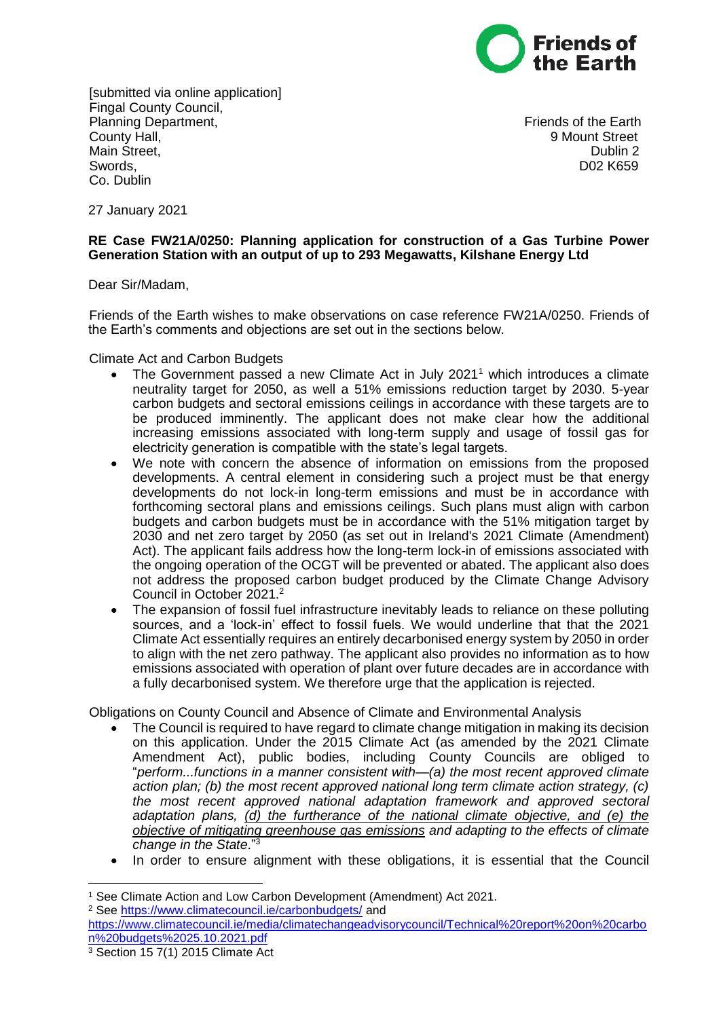

[submitted via online application] Fingal County Council, Planning Department, Friends of the Earth County Hall, 9 Mount Street Main Street, **Dublin 2** and Dublin 2 Swords, D02 K659 Co. Dublin

27 January 2021

## **RE Case FW21A/0250: Planning application for construction of a Gas Turbine Power Generation Station with an output of up to 293 Megawatts, Kilshane Energy Ltd**

Dear Sir/Madam,

Friends of the Earth wishes to make observations on case reference FW21A/0250. Friends of the Earth's comments and objections are set out in the sections below.

Climate Act and Carbon Budgets

- The Government passed a new Climate Act in July 2021<sup>1</sup> which introduces a climate neutrality target for 2050, as well a 51% emissions reduction target by 2030. 5-year carbon budgets and sectoral emissions ceilings in accordance with these targets are to be produced imminently. The applicant does not make clear how the additional increasing emissions associated with long-term supply and usage of fossil gas for electricity generation is compatible with the state's legal targets.
- We note with concern the absence of information on emissions from the proposed developments. A central element in considering such a project must be that energy developments do not lock-in long-term emissions and must be in accordance with forthcoming sectoral plans and emissions ceilings. Such plans must align with carbon budgets and carbon budgets must be in accordance with the 51% mitigation target by 2030 and net zero target by 2050 (as set out in Ireland's 2021 Climate (Amendment) Act). The applicant fails address how the long-term lock-in of emissions associated with the ongoing operation of the OCGT will be prevented or abated. The applicant also does not address the proposed carbon budget produced by the Climate Change Advisory Council in October 2021.<sup>2</sup>
- The expansion of fossil fuel infrastructure inevitably leads to reliance on these polluting sources, and a 'lock-in' effect to fossil fuels. We would underline that that the 2021 Climate Act essentially requires an entirely decarbonised energy system by 2050 in order to align with the net zero pathway. The applicant also provides no information as to how emissions associated with operation of plant over future decades are in accordance with a fully decarbonised system. We therefore urge that the application is rejected.

Obligations on County Council and Absence of Climate and Environmental Analysis

- The Council is required to have regard to climate change mitigation in making its decision on this application. Under the 2015 Climate Act (as amended by the 2021 Climate Amendment Act), public bodies, including County Councils are obliged to "*perform...functions in a manner consistent with—(a) the most recent approved climate action plan; (b) the most recent approved national long term climate action strategy, (c) the most recent approved national adaptation framework and approved sectoral adaptation plans, (d) the furtherance of the national climate objective, and (e) the objective of mitigating greenhouse gas emissions and adapting to the effects of climate change in the State*."<sup>3</sup>
- In order to ensure alignment with these obligations, it is essential that the Council

<sup>2</sup> See<https://www.climatecouncil.ie/carbonbudgets/> and

 $\overline{a}$ <sup>1</sup> See Climate Action and Low Carbon Development (Amendment) Act 2021.

[https://www.climatecouncil.ie/media/climatechangeadvisorycouncil/Technical%20report%20on%20carbo](https://www.climatecouncil.ie/media/climatechangeadvisorycouncil/Technical%20report%20on%20carbon%20budgets%2025.10.2021.pdf) [n%20budgets%2025.10.2021.pdf](https://www.climatecouncil.ie/media/climatechangeadvisorycouncil/Technical%20report%20on%20carbon%20budgets%2025.10.2021.pdf)

<sup>3</sup> Section 15 7(1) 2015 Climate Act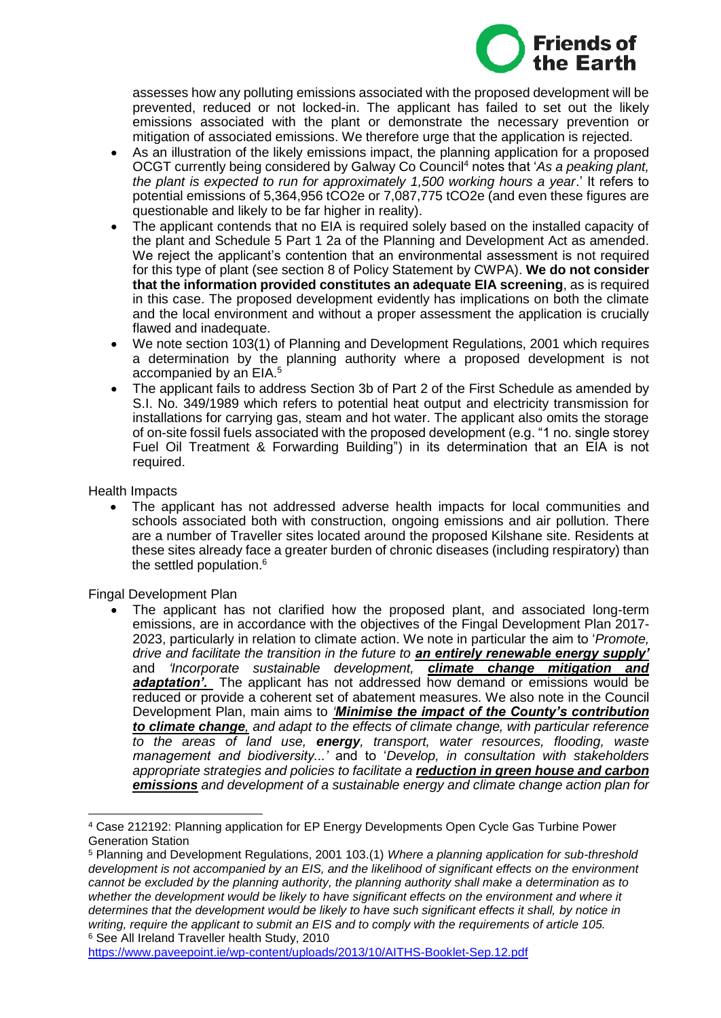

assesses how any polluting emissions associated with the proposed development will be prevented, reduced or not locked-in. The applicant has failed to set out the likely emissions associated with the plant or demonstrate the necessary prevention or mitigation of associated emissions. We therefore urge that the application is rejected.

- As an illustration of the likely emissions impact, the planning application for a proposed OCGT currently being considered by Galway Co Council<sup>4</sup> notes that '*As a peaking plant, the plant is expected to run for approximately 1,500 working hours a year*.' It refers to potential emissions of 5,364,956 tCO2e or 7,087,775 tCO2e (and even these figures are questionable and likely to be far higher in reality).
- The applicant contends that no EIA is required solely based on the installed capacity of the plant and Schedule 5 Part 1 2a of the Planning and Development Act as amended. We reject the applicant's contention that an environmental assessment is not required for this type of plant (see section 8 of Policy Statement by CWPA). **We do not consider that the information provided constitutes an adequate EIA screening**, as is required in this case. The proposed development evidently has implications on both the climate and the local environment and without a proper assessment the application is crucially flawed and inadequate.
- We note section 103(1) of Planning and Development Regulations, 2001 which requires a determination by the planning authority where a proposed development is not accompanied by an EIA.<sup>5</sup>
- The applicant fails to address Section 3b of Part 2 of the First Schedule as amended by S.I. No. 349/1989 which refers to potential heat output and electricity transmission for installations for carrying gas, steam and hot water. The applicant also omits the storage of on-site fossil fuels associated with the proposed development (e.g. "1 no. single storey Fuel Oil Treatment & Forwarding Building") in its determination that an EIA is not required.

Health Impacts

 The applicant has not addressed adverse health impacts for local communities and schools associated both with construction, ongoing emissions and air pollution. There are a number of Traveller sites located around the proposed Kilshane site. Residents at these sites already face a greater burden of chronic diseases (including respiratory) than the settled population.<sup>6</sup>

Fingal Development Plan

 The applicant has not clarified how the proposed plant, and associated long-term emissions, are in accordance with the objectives of the Fingal Development Plan 2017- 2023, particularly in relation to climate action. We note in particular the aim to '*Promote, drive and facilitate the transition in the future to an entirely renewable energy supply'* and *'Incorporate sustainable development, climate change mitigation and adaptation'.* The applicant has not addressed how demand or emissions would be reduced or provide a coherent set of abatement measures. We also note in the Council Development Plan, main aims to *'Minimise the impact of the County's contribution to climate change, and adapt to the effects of climate change, with particular reference to the areas of land use, energy, transport, water resources, flooding, waste management and biodiversity...'* and to '*Develop, in consultation with stakeholders appropriate strategies and policies to facilitate a reduction in green house and carbon emissions and development of a sustainable energy and climate change action plan for* 

<sup>4</sup> Case 212192: Planning application for EP Energy Developments Open Cycle Gas Turbine Power Generation Station

<sup>5</sup> Planning and Development Regulations, 2001 103.(1) *Where a planning application for sub-threshold development is not accompanied by an EIS, and the likelihood of significant effects on the environment cannot be excluded by the planning authority, the planning authority shall make a determination as to whether the development would be likely to have significant effects on the environment and where it determines that the development would be likely to have such significant effects it shall, by notice in writing, require the applicant to submit an EIS and to comply with the requirements of article 105.* <sup>6</sup> See All Ireland Traveller health Study, 2010

<https://www.paveepoint.ie/wp-content/uploads/2013/10/AITHS-Booklet-Sep.12.pdf>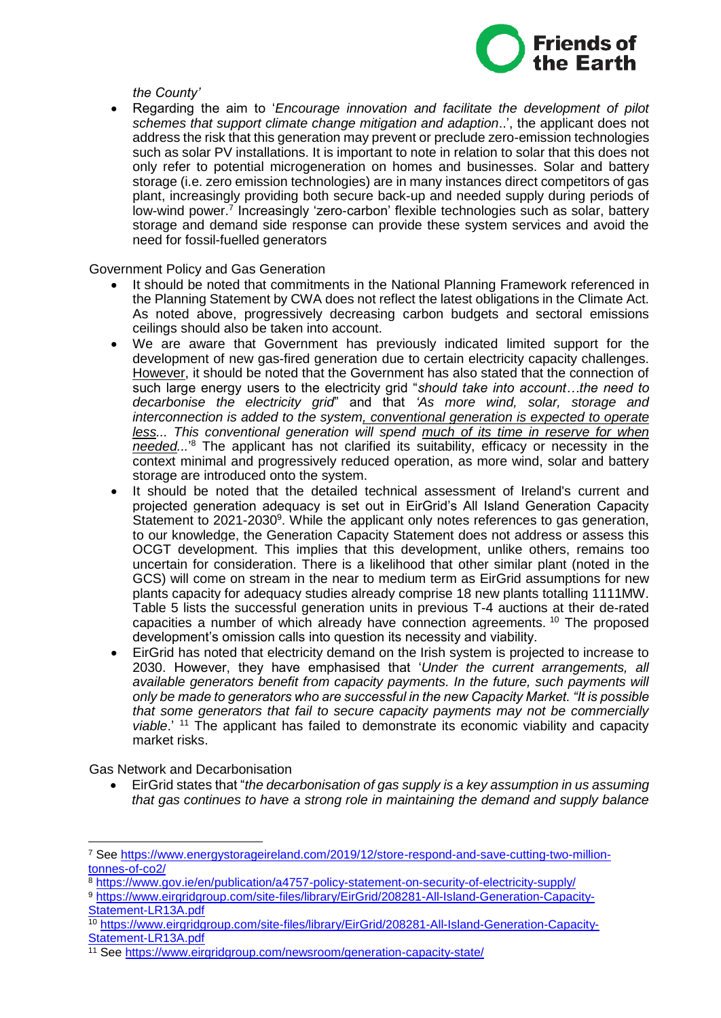

*the County'*

 Regarding the aim to '*Encourage innovation and facilitate the development of pilot schemes that support climate change mitigation and adaption*..', the applicant does not address the risk that this generation may prevent or preclude zero-emission technologies such as solar PV installations. It is important to note in relation to solar that this does not only refer to potential microgeneration on homes and businesses. Solar and battery storage (i.e. zero emission technologies) are in many instances direct competitors of gas plant, increasingly providing both secure back-up and needed supply during periods of low-wind power.<sup>7</sup> Increasingly 'zero-carbon' flexible technologies such as solar, battery storage and demand side response can provide these system services and avoid the need for fossil-fuelled generators

Government Policy and Gas Generation

- It should be noted that commitments in the National Planning Framework referenced in the Planning Statement by CWA does not reflect the latest obligations in the Climate Act. As noted above, progressively decreasing carbon budgets and sectoral emissions ceilings should also be taken into account.
- We are aware that Government has previously indicated limited support for the development of new gas-fired generation due to certain electricity capacity challenges. However, it should be noted that the Government has also stated that the connection of such large energy users to the electricity grid "*should take into account…the need to decarbonise the electricity grid*" and that *'As more wind, solar, storage and interconnection is added to the system, conventional generation is expected to operate less...* This conventional generation will spend much of its time in reserve for when *needed...*' <sup>8</sup> The applicant has not clarified its suitability, efficacy or necessity in the context minimal and progressively reduced operation, as more wind, solar and battery storage are introduced onto the system.
- It should be noted that the detailed technical assessment of Ireland's current and projected generation adequacy is set out in EirGrid's All Island Generation Capacity Statement to 2021-2030<sup>9</sup>. While the applicant only notes references to gas generation, to our knowledge, the Generation Capacity Statement does not address or assess this OCGT development. This implies that this development, unlike others, remains too uncertain for consideration. There is a likelihood that other similar plant (noted in the GCS) will come on stream in the near to medium term as EirGrid assumptions for new plants capacity for adequacy studies already comprise 18 new plants totalling 1111MW. Table 5 lists the successful generation units in previous T-4 auctions at their de-rated capacities a number of which already have connection agreements. <sup>10</sup> The proposed development's omission calls into question its necessity and viability.
- EirGrid has noted that electricity demand on the Irish system is projected to increase to 2030. However, they have emphasised that '*Under the current arrangements, all available generators benefit from capacity payments. In the future, such payments will only be made to generators who are successful in the new Capacity Market. "It is possible that some generators that fail to secure capacity payments may not be commercially viable*.' <sup>11</sup> The applicant has failed to demonstrate its economic viability and capacity market risks.

Gas Network and Decarbonisation

 $\overline{a}$ 

 EirGrid states that "*the decarbonisation of gas supply is a key assumption in us assuming that gas continues to have a strong role in maintaining the demand and supply balance* 

<sup>7</sup> See [https://www.energystorageireland.com/2019/12/store-respond-and-save-cutting-two-million](https://www.energystorageireland.com/2019/12/store-respond-and-save-cutting-two-million-tonnes-of-co2/)[tonnes-of-co2/](https://www.energystorageireland.com/2019/12/store-respond-and-save-cutting-two-million-tonnes-of-co2/)

<sup>8</sup> <https://www.gov.ie/en/publication/a4757-policy-statement-on-security-of-electricity-supply/>

<sup>9</sup> [https://www.eirgridgroup.com/site-files/library/EirGrid/208281-All-Island-Generation-Capacity-](https://www.eirgridgroup.com/site-files/library/EirGrid/208281-All-Island-Generation-Capacity-Statement-LR13A.pdf)[Statement-LR13A.pdf](https://www.eirgridgroup.com/site-files/library/EirGrid/208281-All-Island-Generation-Capacity-Statement-LR13A.pdf)

<sup>10</sup> [https://www.eirgridgroup.com/site-files/library/EirGrid/208281-All-Island-Generation-Capacity-](https://www.eirgridgroup.com/site-files/library/EirGrid/208281-All-Island-Generation-Capacity-Statement-LR13A.pdf)[Statement-LR13A.pdf](https://www.eirgridgroup.com/site-files/library/EirGrid/208281-All-Island-Generation-Capacity-Statement-LR13A.pdf)

<sup>11</sup> See<https://www.eirgridgroup.com/newsroom/generation-capacity-state/>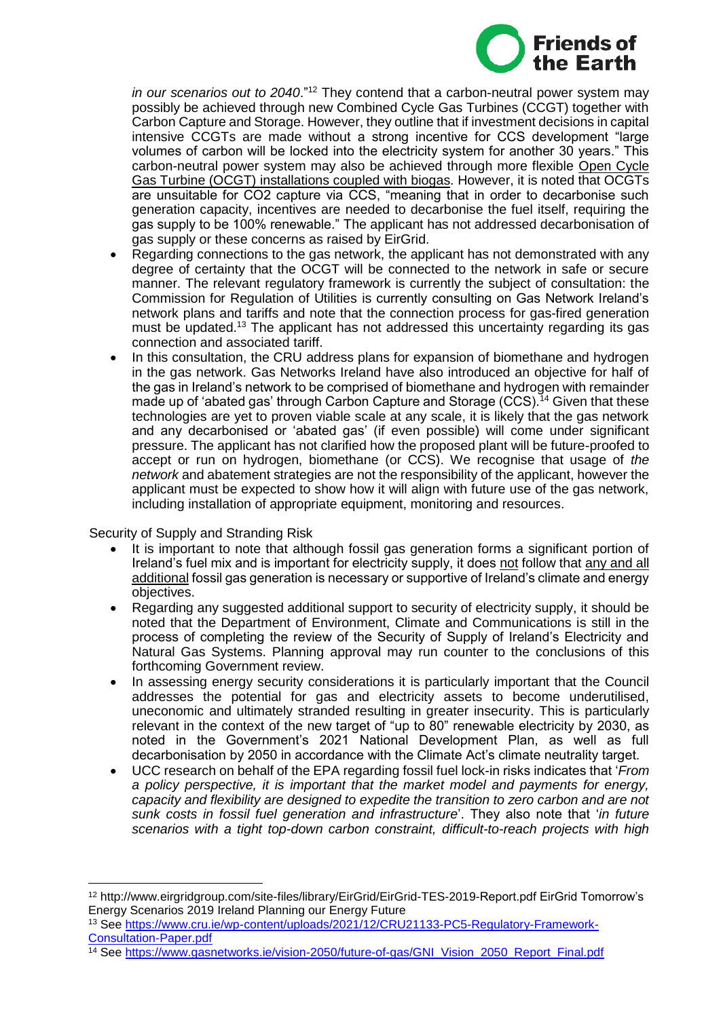

*in our scenarios out to 2040*."<sup>12</sup> They contend that a carbon-neutral power system may possibly be achieved through new Combined Cycle Gas Turbines (CCGT) together with Carbon Capture and Storage. However, they outline that if investment decisions in capital intensive CCGTs are made without a strong incentive for CCS development "large volumes of carbon will be locked into the electricity system for another 30 years." This carbon-neutral power system may also be achieved through more flexible Open Cycle Gas Turbine (OCGT) installations coupled with biogas. However, it is noted that OCGTs are unsuitable for CO2 capture via CCS, "meaning that in order to decarbonise such generation capacity, incentives are needed to decarbonise the fuel itself, requiring the gas supply to be 100% renewable." The applicant has not addressed decarbonisation of gas supply or these concerns as raised by EirGrid.

- Regarding connections to the gas network, the applicant has not demonstrated with any degree of certainty that the OCGT will be connected to the network in safe or secure manner. The relevant regulatory framework is currently the subject of consultation: the Commission for Regulation of Utilities is currently consulting on Gas Network Ireland's network plans and tariffs and note that the connection process for gas-fired generation must be updated.<sup>13</sup> The applicant has not addressed this uncertainty regarding its gas connection and associated tariff.
- In this consultation, the CRU address plans for expansion of biomethane and hydrogen in the gas network. Gas Networks Ireland have also introduced an objective for half of the gas in Ireland's network to be comprised of biomethane and hydrogen with remainder made up of 'abated gas' through Carbon Capture and Storage (CCS).<sup>14</sup> Given that these technologies are yet to proven viable scale at any scale, it is likely that the gas network and any decarbonised or 'abated gas' (if even possible) will come under significant pressure. The applicant has not clarified how the proposed plant will be future-proofed to accept or run on hydrogen, biomethane (or CCS). We recognise that usage of *the network* and abatement strategies are not the responsibility of the applicant, however the applicant must be expected to show how it will align with future use of the gas network, including installation of appropriate equipment, monitoring and resources.

Security of Supply and Stranding Risk

 $\overline{a}$ 

- It is important to note that although fossil gas generation forms a significant portion of Ireland's fuel mix and is important for electricity supply, it does not follow that any and all additional fossil gas generation is necessary or supportive of Ireland's climate and energy objectives.
- Regarding any suggested additional support to security of electricity supply, it should be noted that the Department of Environment, Climate and Communications is still in the process of completing the review of the Security of Supply of Ireland's Electricity and Natural Gas Systems. Planning approval may run counter to the conclusions of this forthcoming Government review.
- In assessing energy security considerations it is particularly important that the Council addresses the potential for gas and electricity assets to become underutilised, uneconomic and ultimately stranded resulting in greater insecurity. This is particularly relevant in the context of the new target of "up to 80" renewable electricity by 2030, as noted in the Government's 2021 National Development Plan, as well as full decarbonisation by 2050 in accordance with the Climate Act's climate neutrality target.
- UCC research on behalf of the EPA regarding fossil fuel lock-in risks indicates that '*From a policy perspective, it is important that the market model and payments for energy, capacity and flexibility are designed to expedite the transition to zero carbon and are not sunk costs in fossil fuel generation and infrastructure*'. They also note that '*in future scenarios with a tight top-down carbon constraint, difficult-to-reach projects with high*

<sup>12</sup> http://www.eirgridgroup.com/site-files/library/EirGrid/EirGrid-TES-2019-Report.pdf EirGrid Tomorrow's Energy Scenarios 2019 Ireland Planning our Energy Future

<sup>13</sup> See [https://www.cru.ie/wp-content/uploads/2021/12/CRU21133-PC5-Regulatory-Framework-](https://www.cru.ie/wp-content/uploads/2021/12/CRU21133-PC5-Regulatory-Framework-Consultation-Paper.pdf)[Consultation-Paper.pdf](https://www.cru.ie/wp-content/uploads/2021/12/CRU21133-PC5-Regulatory-Framework-Consultation-Paper.pdf)

<sup>&</sup>lt;sup>14</sup> See [https://www.gasnetworks.ie/vision-2050/future-of-gas/GNI\\_Vision\\_2050\\_Report\\_Final.pdf](https://www.gasnetworks.ie/vision-2050/future-of-gas/GNI_Vision_2050_Report_Final.pdf)